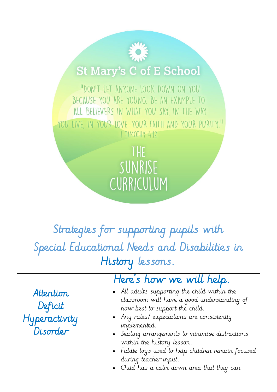## **St Mary's C of E School**

"DON'T LET ANYONE LOOK DOWN ON YOU BECAUSE YOU ARE YOUNG. BE AN EXAMPLE TO ALL BELIEVERS IN WHAT YOU SAY, IN THE WAY YOU LIVE, IN YOUR LOVE, YOUR FAITH AND YOUR PURITY." I TIMOTHY 4:12

> THE SUNRISE CURRICULUM

## Strategies for supporting pupils with Special Educational Needs and Disabilities in History lessons.

|                                                   | Here's how we will help.                                                                                                                                                                                                                                                                                                                                                                                 |
|---------------------------------------------------|----------------------------------------------------------------------------------------------------------------------------------------------------------------------------------------------------------------------------------------------------------------------------------------------------------------------------------------------------------------------------------------------------------|
| Attention<br>Deficit<br>Hyperactivity<br>Disorder | • All adults supporting the child within the<br>classroom will have a good understanding of<br>how best to support the child.<br>• Any rules/expectations are consistently<br>implemented.<br>• Seating arrangements to minimise distractions<br>within the history lesson.<br>• Fiddle toys used to help children remain focused<br>during teacher input.<br>• Child has a calm down area that they can |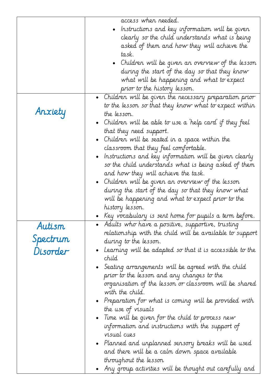|          | access when needed.                                              |
|----------|------------------------------------------------------------------|
|          | • Instructions and key information will be given                 |
|          | clearly so the child understands what is being                   |
|          | asked of them and how they will achieve the                      |
|          | task.                                                            |
|          | • Children will be given an overview of the lesson               |
|          | during the start of the day so that they know                    |
|          | what will be happening and what to expect                        |
|          |                                                                  |
|          | prior to the history lesson.                                     |
|          | • Children will be given the necessary preparation prior $\;$    |
|          | to the lesson so that they know what to expect within            |
| Anxiety  | the lesson.                                                      |
|          | • Children will be able to use a 'help card' if they feel        |
|          | that they need support.                                          |
|          | • Children will be seated in a space within the $\,$             |
|          | classroom that they feel comfortable.                            |
|          | $\bullet$ Instructions and key information will be given clearly |
|          | so the child understands what is being asked of them             |
|          | and how they will achieve the task.                              |
|          |                                                                  |
|          | • Children will be given an overview of the lesson               |
|          | during the start of the day so that they know what               |
|          | will be happening and what to expect prior to the                |
|          | history lesson.                                                  |
|          | Key vocabulary is sent home for pupils a term before.            |
| Autism   | Adults who have a positive, supportive, trusting                 |
|          | relationship with the child will be available to support         |
| Spectrum | during to the lesson.                                            |
| Disorder | Learning will be adapted so that it is accessible to the         |
|          | child                                                            |
|          | Seating arrangements will be agreed with the child               |
|          | prior to the lesson and any changes to the                       |
|          | organisation of the lesson or classroom will be shared           |
|          | with the child.                                                  |
|          |                                                                  |
|          | • Preparation for what is coming will be provided with           |
|          | the use of visuals                                               |
|          | $\bullet$ Time will be given for the child to process new        |
|          | information and instructions with the support of                 |
|          | visual cues                                                      |
|          | $\bullet$ -Planned and unplanned sensory breaks will be used     |
|          | and there will be a calm down space available                    |
|          | throughout the lesson                                            |
|          | Any group activities will be thought out carefully and           |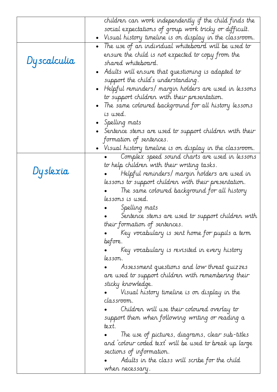|             | children can work independently if the child finds the                    |
|-------------|---------------------------------------------------------------------------|
|             | social expectations of group work tricky or difficult.                    |
|             | • Visual history timeline is on display in the classroom.                 |
|             | • The use of an individual whiteboard will be used to                     |
| Dyscalculia | ensure the child is not expected to copy from the                         |
|             | shared whiteboard.                                                        |
|             | • Adults will ensure that questioning is adapted to                       |
|             | support the child's understanding.                                        |
|             | • Helpful reminders/ margin holders are used in lessons                   |
|             | to support children with their presentation.                              |
|             | • The same coloured background for all history lessons                    |
|             | is used.                                                                  |
|             | Spelling mats                                                             |
|             | - Sentence stems are used to support children with their $\;$             |
|             | formation of sentences.                                                   |
|             | • Visual history timeline is on display in the classroom.                 |
|             | Complex speed sound charts are used in lessons                            |
|             | to help children with their writing tasks.                                |
| Dyslexia    | Helpful reminders/ margin holders are used in                             |
|             | lessons to support children with their presentation.                      |
|             | The same coloured background for all history                              |
|             | lessons is used.                                                          |
|             | Spelling mats                                                             |
|             | Sentence stems are used to support children with                          |
|             | their formation of sentences.                                             |
|             | Key vocabulary is sent home for pupils a term                             |
|             | before.                                                                   |
|             | Key vocabulary is revisited in every history                              |
|             | lesson.                                                                   |
|             | Assessment questions and low threat quizzes                               |
|             | are used to support children with remembering their                       |
|             | sticky knowledge.                                                         |
|             | Visual history timeline is on display in the                              |
|             | classroom.                                                                |
|             | Children will use their coloured overlay to                               |
|             | support them when following writing or reading a<br>text.                 |
|             |                                                                           |
|             | The use of pictures, diagrams, clear sub-titles                           |
|             | and `colour coded text' will be used to break up large                    |
|             | sections of information.<br>Adults in the class will scribe for the child |
|             | when necessary.                                                           |
|             |                                                                           |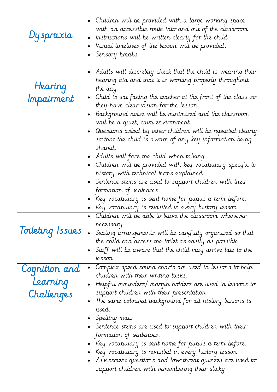| Dyspraxia                                 | • Children will be provided with a large working space<br>with an accessible route into and out of the classroom<br>Instructions will be written clearly for the child<br>$\bullet$<br>Visual timelines of the lesson will be provided.<br>$\bullet$<br>Sensory breaks                                                                                                                                                                                                                                                                                                                                                                                                                                                                                                                                                                                                                                                                                                                                               |
|-------------------------------------------|----------------------------------------------------------------------------------------------------------------------------------------------------------------------------------------------------------------------------------------------------------------------------------------------------------------------------------------------------------------------------------------------------------------------------------------------------------------------------------------------------------------------------------------------------------------------------------------------------------------------------------------------------------------------------------------------------------------------------------------------------------------------------------------------------------------------------------------------------------------------------------------------------------------------------------------------------------------------------------------------------------------------|
| Hearing<br>Impairment<br>Toileting Issues | • Adults will discretely check that the child is wearing their<br>hearing aid and that it is working properly throughout<br>the day.<br>Child is sat facing the teacher at the front of the class so<br>$\bullet$<br>they have clear vision for the lesson.<br>Background noise will be minimised and the classroom<br>will be a quiet, calm environment.<br>Questions asked by other children will be repeated clearly<br>$\bullet$<br>so that the child is aware of any key information being<br>shared.<br>Adults will face the child when talking.<br>Children will be provided with key vocabulary specific to<br>history with technical terms explained.<br>Sentence stems are used to support children with their<br>formation of sentences.<br>Key vocabulary is sent home for pupils a term before.<br>Key vocabulary is revisited in every history lesson.<br>Children will be able to leave the classroom whenever<br>$\bullet$<br>recessary.<br>Seating arrangements will be carefully organised so that |
|                                           | the child can access the toilet as easily as possible.<br>Staff will be aware that the child may arrive late to the<br>lesson.                                                                                                                                                                                                                                                                                                                                                                                                                                                                                                                                                                                                                                                                                                                                                                                                                                                                                       |
| Cognition and                             | Complex speed sound charts are used in lessons to help<br>$\bullet$                                                                                                                                                                                                                                                                                                                                                                                                                                                                                                                                                                                                                                                                                                                                                                                                                                                                                                                                                  |
| Learning                                  | children with their writing tasks.                                                                                                                                                                                                                                                                                                                                                                                                                                                                                                                                                                                                                                                                                                                                                                                                                                                                                                                                                                                   |
|                                           | Helpful reminders/ margin holders are used in lessons to<br>$\bullet$<br>support children with their presentation.                                                                                                                                                                                                                                                                                                                                                                                                                                                                                                                                                                                                                                                                                                                                                                                                                                                                                                   |
| Challenges                                | The same coloured background for all history lessons is<br>used.<br>Spelling mats<br>Sentence stems are used to support children with their<br>formation of sentences.<br>Key vocabulary is sent home for pupils a term before.<br>Key vocabulary is revisited in every history lesson.<br>- Assessment questions and low threat quizzes are used to<br>support children with remembering their sticky                                                                                                                                                                                                                                                                                                                                                                                                                                                                                                                                                                                                               |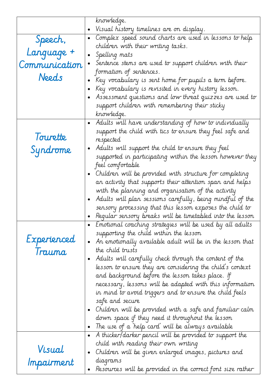|               | krowledge.                                                                                         |
|---------------|----------------------------------------------------------------------------------------------------|
|               | Visual history timelines are on display.<br>$\bullet$                                              |
| Speech,       | Complex speed sound charts are used in lessons to help<br>$\bullet$                                |
|               | children with their writing tasks.                                                                 |
| Language +    | Spelling mats                                                                                      |
| Communication | Sentence stems are used to support children with their<br>$\bullet$                                |
|               | formation of sentences.                                                                            |
| Needs         | Key vocabulary is sent home for pupils a term before.                                              |
|               | Key vocabulary is revisited in every history lesson.                                               |
|               | Assessment questions and low threat quizzes are used to                                            |
|               | support children with remembering their sticky                                                     |
|               | knowledge.                                                                                         |
|               | Adults will have understanding of how to individually<br>$\bullet$                                 |
| Tourette      | support the child with tics to ensure they feel safe and                                           |
|               | respected                                                                                          |
| Syndrome      | Adults will support the child to ensure they feel<br>$\bullet$                                     |
|               | supported in participating within the lesson however they                                          |
|               | feel comfortable                                                                                   |
|               | Children will be provided with structure for completing                                            |
|               | an activity that supports their attention span and helps                                           |
|               | with the planning and organisation of the activity                                                 |
|               | Adults will plan sessions carefully, being mindful of the<br>$\bullet$                             |
|               | sensory processing that this lesson exposes the child to                                           |
|               | Regular sensory breaks will be timetabled into the lesson<br>$\bullet$                             |
|               | Emotional coaching strategies will be used by all adults<br>supporting the child within the lesson |
| Experienced   | An emotionally available adult will be in the lesson that<br>$\bullet$                             |
|               | the child trusts                                                                                   |
| Trauma        | Adults will carefully check through the content of the<br>$\bullet$                                |
|               | lesson to ensure they are considering the child's context                                          |
|               | and background before the lesson takes place. If                                                   |
|               | necessary, lessons will be adapted with this information                                           |
|               | in mind to avoid triggers and to ensure the child feels                                            |
|               | safe and secure                                                                                    |
|               | Children will be provided with a safe and familiar calm<br>$\bullet$                               |
|               | down space if they need it throughout the lesson                                                   |
|               | The use of a 'help card' will be always available<br>$\bullet$                                     |
|               | A thicker/darker pencil will be provided to support the<br>$\bullet$                               |
|               | child with reading their own writing                                                               |
| Visual        | Children will be given enlarged images, pictures and<br>$\bullet$                                  |
| Impairment    | diagrams                                                                                           |
|               | Resources will be provided in the correct font size rather<br>$\bullet$                            |